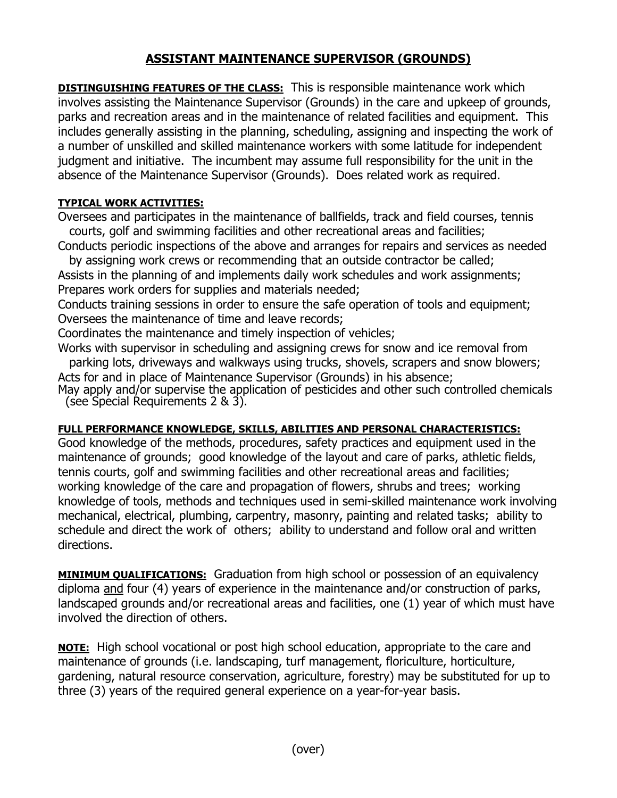## **ASSISTANT MAINTENANCE SUPERVISOR (GROUNDS)**

**DISTINGUISHING FEATURES OF THE CLASS:** This is responsible maintenance work which involves assisting the Maintenance Supervisor (Grounds) in the care and upkeep of grounds, parks and recreation areas and in the maintenance of related facilities and equipment. This includes generally assisting in the planning, scheduling, assigning and inspecting the work of a number of unskilled and skilled maintenance workers with some latitude for independent judgment and initiative. The incumbent may assume full responsibility for the unit in the absence of the Maintenance Supervisor (Grounds). Does related work as required.

## **TYPICAL WORK ACTIVITIES:**

Oversees and participates in the maintenance of ballfields, track and field courses, tennis courts, golf and swimming facilities and other recreational areas and facilities;

Conducts periodic inspections of the above and arranges for repairs and services as needed by assigning work crews or recommending that an outside contractor be called;

Assists in the planning of and implements daily work schedules and work assignments; Prepares work orders for supplies and materials needed;

Conducts training sessions in order to ensure the safe operation of tools and equipment; Oversees the maintenance of time and leave records;

Coordinates the maintenance and timely inspection of vehicles;

Works with supervisor in scheduling and assigning crews for snow and ice removal from parking lots, driveways and walkways using trucks, shovels, scrapers and snow blowers; Acts for and in place of Maintenance Supervisor (Grounds) in his absence;

May apply and/or supervise the application of pesticides and other such controlled chemicals (see Special Requirements 2 & 3).

## **FULL PERFORMANCE KNOWLEDGE, SKILLS, ABILITIES AND PERSONAL CHARACTERISTICS:**

Good knowledge of the methods, procedures, safety practices and equipment used in the maintenance of grounds; good knowledge of the layout and care of parks, athletic fields, tennis courts, golf and swimming facilities and other recreational areas and facilities; working knowledge of the care and propagation of flowers, shrubs and trees; working knowledge of tools, methods and techniques used in semi-skilled maintenance work involving mechanical, electrical, plumbing, carpentry, masonry, painting and related tasks; ability to schedule and direct the work of others; ability to understand and follow oral and written directions.

**MINIMUM QUALIFICATIONS:** Graduation from high school or possession of an equivalency diploma and four (4) years of experience in the maintenance and/or construction of parks, landscaped grounds and/or recreational areas and facilities, one (1) year of which must have involved the direction of others.

**NOTE:** High school vocational or post high school education, appropriate to the care and maintenance of grounds (i.e. landscaping, turf management, floriculture, horticulture, gardening, natural resource conservation, agriculture, forestry) may be substituted for up to three (3) years of the required general experience on a year-for-year basis.